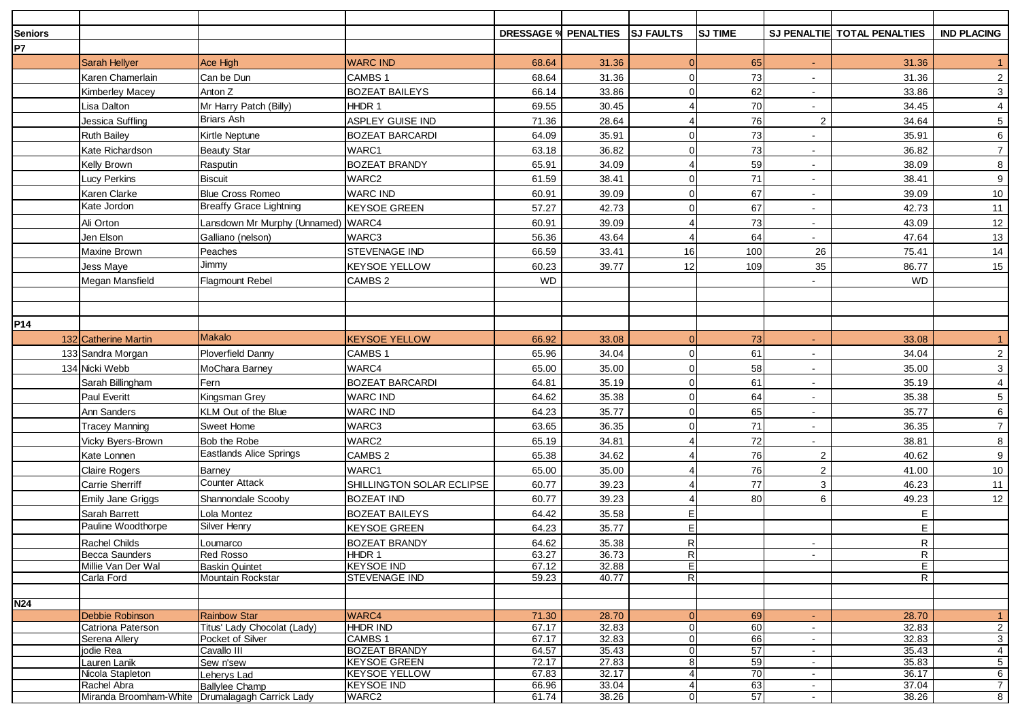| <b>Seniors</b>  |                                                 |                                                   |                                             |                | <b>DRESSAGE % PENALTIES</b> | <b>SJ FAULTS</b> | <b>SJ TIME</b> |                  | SJ PENALTIE TOTAL PENALTIES | <b>IND PLACING</b>      |
|-----------------|-------------------------------------------------|---------------------------------------------------|---------------------------------------------|----------------|-----------------------------|------------------|----------------|------------------|-----------------------------|-------------------------|
| P7              |                                                 |                                                   |                                             |                |                             |                  |                |                  |                             |                         |
|                 | <b>Sarah Hellyer</b>                            | Ace High                                          | <b>WARC IND</b>                             | 68.64          | 31.36                       |                  | 65             | $\sim$           | 31.36                       | -1                      |
|                 | Karen Chamerlain                                | Can be Dun                                        | CAMBS 1                                     | 68.64          | 31.36                       |                  | 73             |                  | 31.36                       | $\overline{c}$          |
|                 | <b>Kimberley Macey</b>                          | Anton Z                                           | <b>BOZEAT BAILEYS</b>                       | 66.14          | 33.86                       |                  | 62             | $\sim$           | 33.86                       | $\mathbf{3}$            |
|                 | Lisa Dalton                                     | Mr Harry Patch (Billy)                            | HHDR 1                                      | 69.55          | 30.45                       |                  | 70             |                  | 34.45                       | $\overline{\mathbf{4}}$ |
|                 | Jessica Suffling                                | Briars Ash                                        | ASPLEY GUISE IND                            | 71.36          | 28.64                       |                  | 76             | $\overline{2}$   | 34.64                       | $\,$ 5 $\,$             |
|                 | <b>Ruth Bailey</b>                              | Kirtle Neptune                                    | <b>BOZEAT BARCARDI</b>                      | 64.09          | 35.91                       |                  | 73             |                  | 35.91                       | 6                       |
|                 | Kate Richardson                                 | <b>Beauty Star</b>                                | WARC1                                       | 63.18          | 36.82                       |                  | 73             | $\sim$           | 36.82                       | $\overline{7}$          |
|                 | Kelly Brown                                     | Rasputin                                          | <b>BOZEAT BRANDY</b>                        | 65.91          | 34.09                       |                  | 59             | $\sim$           | 38.09                       | 8                       |
|                 | ucy Perkins                                     | <b>Biscuit</b>                                    | WARC2                                       | 61.59          | 38.41                       |                  | 71             |                  | 38.41                       | $9\,$                   |
|                 | Karen Clarke                                    | <b>Blue Cross Romeo</b>                           | <b>WARC IND</b>                             | 60.91          | 39.09                       |                  | 67             |                  | 39.09                       | 10                      |
|                 | Kate Jordon                                     | <b>Breaffy Grace Lightning</b>                    | <b>KEYSOE GREEN</b>                         | 57.27          | 42.73                       |                  | 67             | $\sim$           | 42.73                       | 11                      |
|                 | Ali Orton                                       | Lansdown Mr Murphy (Unnamed)                      | WARC4                                       | 60.91          | 39.09                       |                  | 73             | $\sim$           | 43.09                       | 12                      |
|                 | Jen Elson                                       | Galliano (nelson)                                 | WARC3                                       | 56.36          | 43.64                       |                  | 64             |                  | 47.64                       | 13                      |
|                 | Maxine Brown                                    | Peaches                                           | STEVENAGE IND                               | 66.59          | 33.41                       | 16               | 100            | 26               | 75.41                       | 14                      |
|                 |                                                 | Jimmy                                             | KEYSOE YELLOW                               | 60.23          | 39.77                       | 12               | 109            | 35               | 86.77                       | 15                      |
|                 | Jess Maye<br>Megan Mansfield                    | <b>Flagmount Rebel</b>                            | CAMBS 2                                     | <b>WD</b>      |                             |                  |                |                  | <b>WD</b>                   |                         |
|                 |                                                 |                                                   |                                             |                |                             |                  |                |                  |                             |                         |
|                 |                                                 |                                                   |                                             |                |                             |                  |                |                  |                             |                         |
|                 |                                                 |                                                   |                                             |                |                             |                  |                |                  |                             |                         |
| P <sub>14</sub> |                                                 | <b>Makalo</b>                                     |                                             |                |                             |                  |                |                  |                             |                         |
|                 | 132 Catherine Martin                            |                                                   | <b>KEYSOE YELLOW</b>                        | 66.92          | 33.08                       |                  | 73             |                  | 33.08                       | $\mathbf{1}$            |
|                 | 133 Sandra Morgan                               | <b>Ploverfield Danny</b>                          | CAMBS 1                                     | 65.96          | 34.04                       |                  | 61             |                  | 34.04                       | $\overline{2}$          |
|                 | 134 Nicki Webb                                  | MoChara Barney                                    | WARC4                                       | 65.00          | 35.00                       |                  | 58             | $\sim$           | 35.00                       | 3                       |
|                 | Sarah Billingham                                | Fern                                              | <b>BOZEAT BARCARDI</b>                      | 64.81          | 35.19                       |                  | 61             |                  | 35.19                       | 4                       |
|                 | <b>Paul Everitt</b>                             | Kingsman Grey                                     | <b>WARC IND</b>                             | 64.62          | 35.38                       |                  | 64             |                  | 35.38                       | $\sqrt{5}$              |
|                 | Ann Sanders                                     | KLM Out of the Blue                               | <b>WARC IND</b>                             | 64.23          | 35.77                       |                  | 65             |                  | 35.77                       | 6                       |
|                 | Tracey Manning                                  | Sweet Home                                        | WARC3                                       | 63.65          | 36.35                       |                  | 71             | $\sim$           | 36.35                       | $\overline{7}$          |
|                 | Vicky Byers-Brown                               | Bob the Robe                                      | WARC2                                       | 65.19          | 34.81                       |                  | 72             |                  | 38.81                       | $\bf 8$                 |
|                 | Kate Lonnen                                     | <b>Eastlands Alice Springs</b>                    | CAMBS 2                                     | 65.38          | 34.62                       |                  | 76             | $\overline{2}$   | 40.62                       | $\boldsymbol{9}$        |
|                 | <b>Claire Rogers</b>                            | <b>Barney</b>                                     | WARC1                                       | 65.00          | 35.00                       |                  | 76             | 2                | 41.00                       | 10                      |
|                 | Carrie Sherriff                                 | <b>Counter Attack</b>                             | SHILLINGTON SOLAR ECLIPSE                   | 60.77          | 39.23                       |                  | 77             | 3                | 46.23                       | 11                      |
|                 | <b>Emily Jane Griggs</b>                        | Shannondale Scooby                                | BOZEAT IND                                  | 60.77          | 39.23                       |                  | 80             | 6                | 49.23                       | 12                      |
|                 | Sarah Barrett                                   | Lola Montez                                       | <b>BOZEAT BAILEYS</b>                       | 64.42          | 35.58                       | F                |                |                  | E                           |                         |
|                 | Pauline Woodthorpe                              | Silver Henry                                      | KEYSOE GREEN                                | 64.23          | 35.77                       | F                |                |                  | $\mathsf E$                 |                         |
|                 | Rachel Childs                                   | Loumarco                                          | BOZEAT BRANDY                               | 64.62          | 35.38                       | R                |                |                  | $\mathsf R$                 |                         |
|                 | <b>Becca Saunders</b>                           | <b>Red Rosso</b>                                  | HHDR 1                                      | 63.27          | 36.73                       | $\overline{R}$   |                |                  | $\overline{R}$              |                         |
|                 | Millie Van Der Wal<br>Carla Ford                | <b>Baskin Quintet</b><br><b>Mountain Rockstar</b> | <b>KEYSOE IND</b><br><b>STEVENAGE IND</b>   | 67.12<br>59.23 | 32.88<br>40.77              | 티<br>R           |                |                  | E.<br>R                     |                         |
|                 |                                                 |                                                   |                                             |                |                             |                  |                |                  |                             |                         |
| <b>N24</b>      |                                                 |                                                   |                                             |                |                             |                  |                |                  |                             |                         |
|                 | Debbie Robinson                                 | <b>Rainbow Star</b>                               | WARC4                                       | 71.30          | 28.70                       |                  | 69             | $\blacksquare$   | 28.70                       | $\blacktriangleleft$    |
|                 | Catriona Paterson                               | Titus' Lady Chocolat (Lady)                       | <b>HHDR IND</b>                             | 67.17          | 32.83                       |                  | 60             | $\sim$           | 32.83                       | $\overline{2}$          |
|                 | Serena Allery                                   | Pocket of Silver                                  | CAMBS 1                                     | 67.17          | 32.83                       |                  | 66             | $\sim$           | 32.83                       | 3 <sup>1</sup>          |
|                 | jodie Rea<br>Lauren Lanik                       | Cavallo III<br>Sew n'sew                          | <b>BOZEAT BRANDY</b><br><b>KEYSOE GREEN</b> | 64.57<br>72.17 | 35.43<br>27.83              | 8                | 57<br>59       | $\sim$<br>$\sim$ | 35.43<br>35.83              | 4<br>5 <sub>5</sub>     |
|                 | Nicola Stapleton                                | Leherys Lad                                       | <b>KEYSOE YELLOW</b>                        | 67.83          | 32.17                       |                  | 70             | $\sim$           | 36.17                       | 6                       |
|                 | Rachel Abra                                     | <b>Ballylee Champ</b>                             | <b>KEYSOE IND</b>                           | 66.96          | 33.04                       |                  | 63             | $\sim$           | 37.04                       | $\overline{7}$          |
|                 | Miranda Broomham-White Drumalagagh Carrick Lady |                                                   | WARC2                                       | 61.74          | 38.26                       | $\overline{0}$   | 57             | $\sim$           | 38.26                       | 8 <sup>8</sup>          |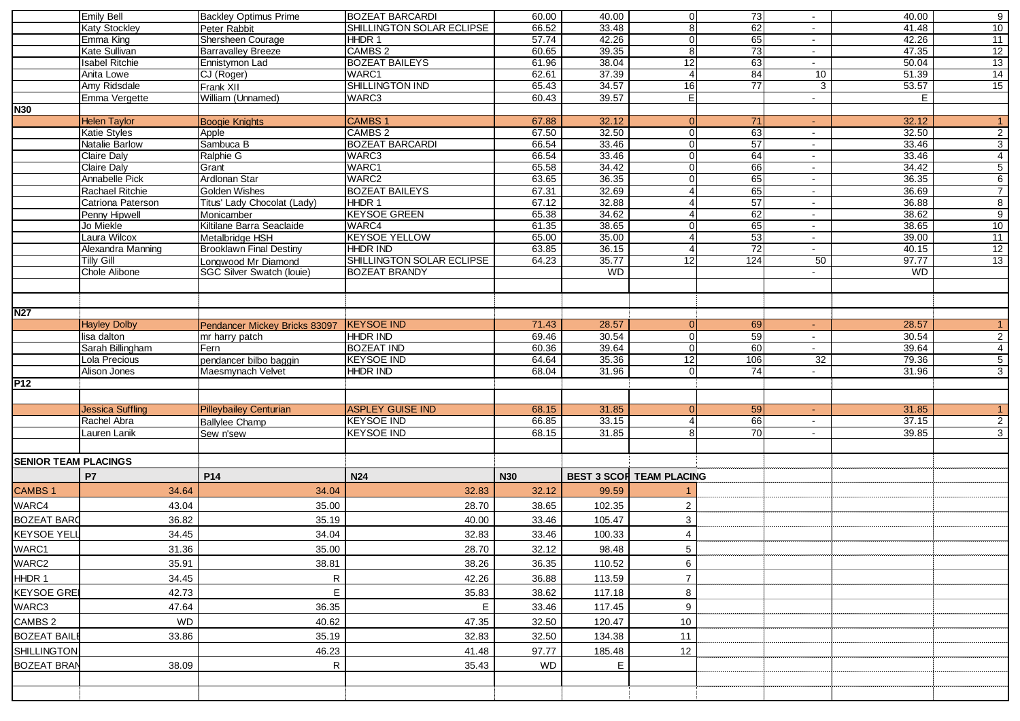|                             | <b>Emily Bell</b>       | <b>Backley Optimus Prime</b>   | <b>BOZEAT BARCARDI</b>    | 60.00          | 40.00     | $\Omega$                        | 73              | $\blacksquare$      | 40.00     | 9              |
|-----------------------------|-------------------------|--------------------------------|---------------------------|----------------|-----------|---------------------------------|-----------------|---------------------|-----------|----------------|
|                             | <b>Katy Stockley</b>    | Peter Rabbit                   | SHILLINGTON SOLAR ECLIPSE | 66.52          | 33.48     | 81                              | 62              | $\sim$              | 41.48     | 10             |
|                             | Emma King               | Shersheen Courage              | HHDR 1                    | 57.74          | 42.26     |                                 | 65              | $\sim$              | 42.26     | 11             |
|                             | Kate Sullivan           | <b>Barravalley Breeze</b>      | CAMBS <sub>2</sub>        | 60.65          | 39.35     |                                 | $\overline{73}$ | $\sim$              | 47.35     | 12             |
|                             | <b>Isabel Ritchie</b>   | Ennistymon Lad                 | <b>BOZEAT BAILEYS</b>     | 61.96          | 38.04     | 12                              | 63              | $\sim$              | 50.04     | 13             |
|                             | Anita Lowe              | CJ (Roger)                     | WARC1                     | 62.61          | 37.39     | 4                               | 84              | 10                  | 51.39     | 14             |
|                             | Amy Ridsdale            | Frank XII                      | SHILLINGTON IND           | 65.43          | 34.57     | 16                              | 77              | $\mathbf{3}$        | 53.57     | 15             |
|                             | Emma Vergette           | William (Unnamed)              | WARC3                     | 60.43          | 39.57     | EI                              |                 | $\blacksquare$      | E.        |                |
| <b>N30</b>                  |                         |                                |                           |                |           |                                 |                 |                     |           |                |
|                             | <b>Helen Taylor</b>     |                                | <b>CAMBS1</b>             | 67.88          | 32.12     |                                 | 71              |                     | 32.12     | $\mathbf{1}$   |
|                             | <b>Katie Styles</b>     | <b>Boogie Knights</b>          | CAMBS <sub>2</sub>        | 67.50          | 32.50     |                                 |                 | $\sim$              | 32.50     |                |
|                             |                         | Apple                          |                           |                |           |                                 | 63              | $\sim$              |           | $\overline{2}$ |
|                             | Natalie Barlow          | Sambuca B                      | <b>BOZEAT BARCARDI</b>    | 66.54          | 33.46     | ∩                               | 57              | $\sim$              | 33.46     | $\overline{3}$ |
|                             | Claire Dalv             | Ralphie G                      | WARC3                     | 66.54          | 33.46     |                                 | 64              | $\sim$              | 33.46     | $\overline{4}$ |
|                             | Claire Daly             | Grant                          | WARC1                     | 65.58          | 34.42     |                                 | 66              | $\sim$              | 34.42     | $\overline{5}$ |
|                             | <b>Annabelle Pick</b>   | Ardlonan Star                  | WARC2                     | 63.65          | 36.35     |                                 | 65              | $\sim$ $-$          | 36.35     | $6\overline{}$ |
|                             | Rachael Ritchie         | Golden Wishes                  | <b>BOZEAT BAILEYS</b>     | 67.31          | 32.69     |                                 | 65              | $\sim$              | 36.69     | $\overline{7}$ |
|                             | Catriona Paterson       | Titus' Lady Chocolat (Lady)    | HHDR 1                    | 67.12          | 32.88     |                                 | 57              | $\sim$              | 36.88     | 8              |
|                             | Penny Hipwell           | Monicamber                     | <b>KEYSOE GREEN</b>       | 65.38          | 34.62     |                                 | 62              | $\sim$              | 38.62     | $\overline{9}$ |
|                             | Jo Miekle               | Kiltilane Barra Seaclaide      | WARC4                     | 61.35          | 38.65     |                                 | 65              | $\sim$              | 38.65     | 10             |
|                             | Laura Wilcox            | Metalbridge HSH                | <b>KEYSOE YELLOW</b>      | 65.00          | 35.00     |                                 | 53              | $\sim$ $-$          | 39.00     | 11             |
|                             | Alexandra Manning       | <b>Brooklawn Final Destiny</b> | <b>HHDR IND</b>           | 63.85          | 36.15     |                                 | 72              | $\sim$              | 40.15     | 12             |
|                             | <b>Tilly Gill</b>       | Longwood Mr Diamond            | SHILLINGTON SOLAR ECLIPSE | 64.23          | 35.77     | 12                              | 124             | 50                  | 97.77     | 13             |
|                             | Chole Alibone           | SGC Silver Swatch (louie)      | <b>BOZEAT BRANDY</b>      |                | <b>WD</b> |                                 |                 |                     | <b>WD</b> |                |
|                             |                         |                                |                           |                |           |                                 |                 |                     |           |                |
|                             |                         |                                |                           |                |           |                                 |                 |                     |           |                |
| <b>N27</b>                  |                         |                                |                           |                |           |                                 |                 |                     |           |                |
|                             | <b>Hayley Dolby</b>     | Pendancer Mickey Bricks 83097  | <b>KEYSOE IND</b>         | 71.43          | 28.57     |                                 | 69              | $\omega_{\rm{eff}}$ | 28.57     | $\mathbf{1}$   |
|                             | lisa dalton             | mr harry patch                 | <b>HHDR IND</b>           | 69.46          | 30.54     | O                               | 59              | $\sim$              | 30.54     | $\overline{2}$ |
|                             | Sarah Billingham        | Fern                           | <b>BOZEAT IND</b>         | 60.36          | 39.64     | $\Omega$                        | 60              | $\blacksquare$      | 39.64     | $\overline{4}$ |
|                             |                         |                                |                           |                |           | 12                              |                 |                     |           |                |
|                             | Lola Precious           | pendancer bilbo baggin         | <b>KEYSOE IND</b>         | 64.64<br>68.04 | 35.36     |                                 | 106<br>74       | 32                  | 79.36     | $\overline{5}$ |
|                             | Alison Jones            | Maesmynach Velvet              | <b>HHDR IND</b>           |                | 31.96     |                                 |                 | $\sim$              | 31.96     | 3              |
| P <sub>12</sub>             |                         |                                |                           |                |           |                                 |                 |                     |           |                |
|                             |                         |                                |                           |                |           |                                 |                 |                     |           |                |
|                             | <b>Jessica Suffling</b> | <b>Pilleybailey Centurian</b>  | <b>ASPLEY GUISE IND</b>   | 68.15          | 31.85     |                                 | 59              | $\sim$              | 31.85     | $\mathbf{1}$   |
|                             | Rachel Abra             | <b>Ballylee Champ</b>          | <b>KEYSOE IND</b>         | 66.85          | 33.15     |                                 | 66              | $\sim$              | 37.15     | $\overline{2}$ |
|                             | Lauren Lanik            | Sew n'sew                      | <b>KEYSOE IND</b>         | 68.15          | 31.85     |                                 | 70              | $\sim$              | 39.85     | 3              |
|                             |                         |                                |                           |                |           |                                 |                 |                     |           |                |
| <b>SENIOR TEAM PLACINGS</b> |                         |                                |                           |                |           |                                 |                 |                     |           |                |
|                             |                         |                                |                           |                |           |                                 |                 |                     |           |                |
|                             | P7                      | P14                            | <b>N24</b>                | <b>N30</b>     |           | <b>BEST 3 SCOR TEAM PLACING</b> |                 |                     |           |                |
| <b>CAMBS1</b>               | 34.64                   | 34.04                          | 32.83                     | 32.12          | 99.59     |                                 |                 |                     |           |                |
| WARC4                       | 43.04                   | 35.00                          | 28.70                     | 38.65          | 102.35    | $\boldsymbol{2}$                |                 |                     |           |                |
| <b>BOZEAT BARC</b>          |                         | 35.19                          |                           | 33.46          | 105.47    |                                 |                 |                     |           |                |
|                             | 36.82                   |                                | 40.00                     |                |           | $\mathbf{3}$                    |                 |                     |           |                |
| <b>KEYSOE YELI</b>          | 34.45                   | 34.04                          | 32.83                     | 33.46          | 100.33    | $\overline{4}$                  |                 |                     |           |                |
| WARC1                       | 31.36                   | 35.00                          | 28.70                     | 32.12          | 98.48     | 5                               |                 |                     |           |                |
| WARC2                       | 35.91                   | 38.81                          | 38.26                     | 36.35          | 110.52    | $\,6$                           |                 |                     |           |                |
|                             |                         |                                |                           |                |           |                                 |                 |                     |           |                |
| HHDR 1                      | 34.45                   | R.                             | 42.26                     | 36.88          | 113.59    | $\overline{7}$                  |                 |                     |           |                |
| <b>KEYSOE GREI</b>          | 42.73                   | E                              | 35.83                     | 38.62          | 117.18    | 8                               |                 |                     |           |                |
| WARC3                       | 47.64                   | 36.35                          | E                         | 33.46          | 117.45    | $\boldsymbol{9}$                |                 |                     |           |                |
| CAMBS 2                     | <b>WD</b>               | 40.62                          | 47.35                     | 32.50          | 120.47    | 10                              |                 |                     |           |                |
|                             |                         |                                |                           |                |           |                                 |                 |                     |           |                |
| <b>BOZEAT BAILE</b>         | 33.86                   | 35.19                          | 32.83                     | 32.50          | 134.38    | 11                              |                 |                     |           |                |
| <b>SHILLINGTON</b>          |                         | 46.23                          | 41.48                     | 97.77          | 185.48    | 12                              |                 |                     |           |                |
| <b>BOZEAT BRAN</b>          | 38.09                   | R.                             | 35.43                     | <b>WD</b>      | Е         |                                 |                 |                     |           |                |
|                             |                         |                                |                           |                |           |                                 |                 |                     |           |                |
|                             |                         |                                |                           |                |           |                                 |                 |                     |           |                |
|                             |                         |                                |                           |                |           |                                 |                 |                     |           |                |